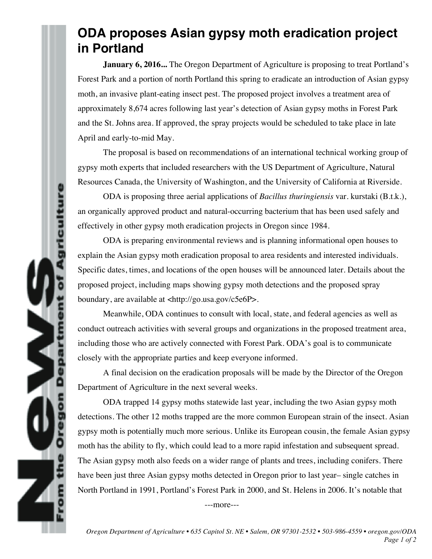## **ODA proposes Asian gypsy moth eradication project in Portland**

**January 6, 2016...** The Oregon Department of Agriculture is proposing to treat Portland's Forest Park and a portion of north Portland this spring to eradicate an introduction of Asian gypsy moth, an invasive plant-eating insect pest. The proposed project involves a treatment area of approximately 8,674 acres following last year's detection of Asian gypsy moths in Forest Park and the St. Johns area. If approved, the spray projects would be scheduled to take place in late April and early-to-mid May.

The proposal is based on recommendations of an international technical working group of gypsy moth experts that included researchers with the US Department of Agriculture, Natural Resources Canada, the University of Washington, and the University of California at Riverside.

ODA is proposing three aerial applications of *Bacillus thuringiensis* var. kurstaki (B.t.k.), an organically approved product and natural-occurring bacterium that has been used safely and effectively in other gypsy moth eradication projects in Oregon since 1984.

ricultur

È

ODA is preparing environmental reviews and is planning informational open houses to explain the Asian gypsy moth eradication proposal to area residents and interested individuals. Specific dates, times, and locations of the open houses will be announced later. Details about the proposed project, including maps showing gypsy moth detections and the proposed spray boundary, are available at <http://go.usa.gov/c5e6P>.

Meanwhile, ODA continues to consult with local, state, and federal agencies as well as conduct outreach activities with several groups and organizations in the proposed treatment area, including those who are actively connected with Forest Park. ODA's goal is to communicate closely with the appropriate parties and keep everyone informed.

A final decision on the eradication proposals will be made by the Director of the Oregon Department of Agriculture in the next several weeks.

ODA trapped 14 gypsy moths statewide last year, including the two Asian gypsy moth detections. The other 12 moths trapped are the more common European strain of the insect. Asian gypsy moth is potentially much more serious. Unlike its European cousin, the female Asian gypsy moth has the ability to fly, which could lead to a more rapid infestation and subsequent spread. The Asian gypsy moth also feeds on a wider range of plants and trees, including conifers. There have been just three Asian gypsy moths detected in Oregon prior to last year– single catches in North Portland in 1991, Portland's Forest Park in 2000, and St. Helens in 2006. It's notable that

---more---